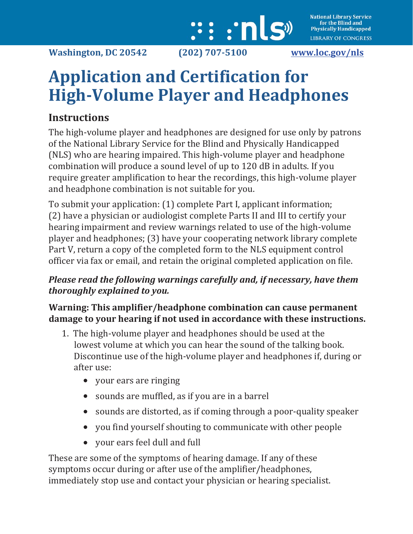

# **Application and Certification for High-Volume Player and Headphones**

## **Instructions**

The high-volume player and headphones are designed for use only by patrons of the National Library Service for the Blind and Physically Handicapped (NLS) who are hearing impaired. This high-volume player and headphone combination will produce a sound level of up to 120 dB in adults. If you require greater amplification to hear the recordings, this high-volume player and headphone combination is not suitable for you.

To submit your application: (1) complete Part I, applicant information; (2) have a physician or audiologist complete Parts II and III to certify your hearing impairment and review warnings related to use of the high-volume player and headphones; (3) have your cooperating network library complete Part V, return a copy of the completed form to the NLS equipment control officer via fax or email, and retain the original completed application on file.

### *Please read the following warnings carefully and, if necessary, have them thoroughly explained to you.*

#### **Warning: This amplifier/headphone combination can cause permanent damage to your hearing if not used in accordance with these instructions.**

- 1. The high-volume player and headphones should be used at the lowest volume at which you can hear the sound of the talking book. Discontinue use of the high-volume player and headphones if, during or after use:
	- your ears are ringing
	- sounds are muffled, as if you are in a barrel
	- sounds are distorted, as if coming through a poor-quality speaker
	- you find yourself shouting to communicate with other people
	- your ears feel dull and full

These are some of the symptoms of hearing damage. If any of these symptoms occur during or after use of the amplifier/headphones, immediately stop use and contact your physician or hearing specialist.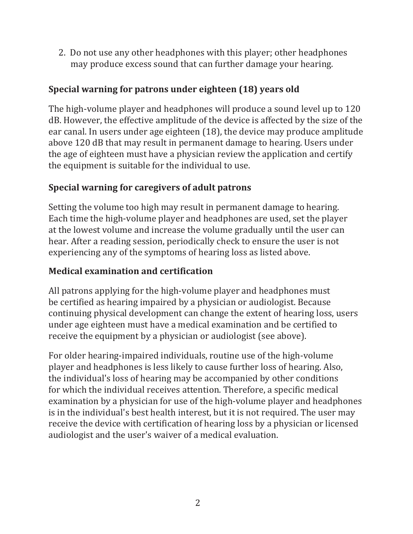2. Do not use any other headphones with this player; other headphones may produce excess sound that can further damage your hearing.

#### **Special warning for patrons under eighteen (18) years old**

The high-volume player and headphones will produce a sound level up to 120 dB. However, the effective amplitude of the device is affected by the size of the ear canal. In users under age eighteen (18), the device may produce amplitude above 120 dB that may result in permanent damage to hearing. Users under the age of eighteen must have a physician review the application and certify the equipment is suitable for the individual to use.

#### **Special warning for caregivers of adult patrons**

Setting the volume too high may result in permanent damage to hearing. Each time the high-volume player and headphones are used, set the player at the lowest volume and increase the volume gradually until the user can hear. After a reading session, periodically check to ensure the user is not experiencing any of the symptoms of hearing loss as listed above.

#### **Medical examination and certification**

All patrons applying for the high-volume player and headphones must be certified as hearing impaired by a physician or audiologist. Because continuing physical development can change the extent of hearing loss, users under age eighteen must have a medical examination and be certified to receive the equipment by a physician or audiologist (see above).

For older hearing-impaired individuals, routine use of the high-volume player and headphones is less likely to cause further loss of hearing. Also, the individual's loss of hearing may be accompanied by other conditions for which the individual receives attention. Therefore, a specific medical examination by a physician for use of the high-volume player and headphones is in the individual's best health interest, but it is not required. The user may receive the device with certification of hearing loss by a physician or licensed audiologist and the user's waiver of a medical evaluation.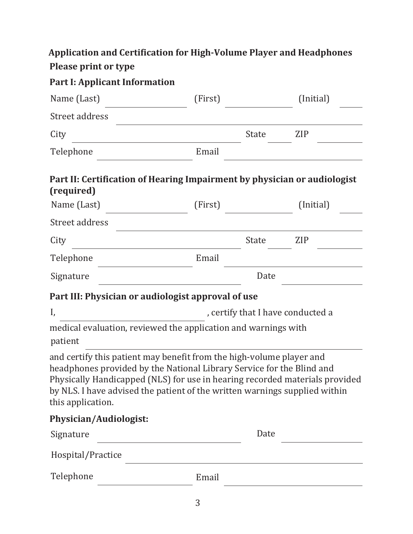## **Application and Certification for High-Volume Player and Headphones Please print or type**

| Name (Last)<br>(Initial)<br>(First)<br>Street address<br>City<br><b>State</b><br><b>ZIP</b><br>Email<br>Telephone<br>Part II: Certification of Hearing Impairment by physician or audiologist<br>(required)<br>Name (Last)<br>(Initial)<br>(First)<br>Street address                                                            |                                   |  |  |  |  |
|---------------------------------------------------------------------------------------------------------------------------------------------------------------------------------------------------------------------------------------------------------------------------------------------------------------------------------|-----------------------------------|--|--|--|--|
|                                                                                                                                                                                                                                                                                                                                 |                                   |  |  |  |  |
|                                                                                                                                                                                                                                                                                                                                 |                                   |  |  |  |  |
|                                                                                                                                                                                                                                                                                                                                 |                                   |  |  |  |  |
|                                                                                                                                                                                                                                                                                                                                 |                                   |  |  |  |  |
|                                                                                                                                                                                                                                                                                                                                 |                                   |  |  |  |  |
|                                                                                                                                                                                                                                                                                                                                 |                                   |  |  |  |  |
|                                                                                                                                                                                                                                                                                                                                 |                                   |  |  |  |  |
| <b>State</b><br><b>ZIP</b><br>City                                                                                                                                                                                                                                                                                              |                                   |  |  |  |  |
| Email<br>Telephone                                                                                                                                                                                                                                                                                                              |                                   |  |  |  |  |
| Date<br>Signature                                                                                                                                                                                                                                                                                                               |                                   |  |  |  |  |
| Part III: Physician or audiologist approval of use                                                                                                                                                                                                                                                                              |                                   |  |  |  |  |
| I,                                                                                                                                                                                                                                                                                                                              | , certify that I have conducted a |  |  |  |  |
| medical evaluation, reviewed the application and warnings with<br>patient                                                                                                                                                                                                                                                       |                                   |  |  |  |  |
| and certify this patient may benefit from the high-volume player and<br>headphones provided by the National Library Service for the Blind and<br>Physically Handicapped (NLS) for use in hearing recorded materials provided<br>by NLS. I have advised the patient of the written warnings supplied within<br>this application. |                                   |  |  |  |  |
| Physician/Audiologist:                                                                                                                                                                                                                                                                                                          |                                   |  |  |  |  |
| Date<br>Signature                                                                                                                                                                                                                                                                                                               |                                   |  |  |  |  |
| Hospital/Practice<br>the control of the control of the control of the control of the control of                                                                                                                                                                                                                                 |                                   |  |  |  |  |
| Telephone<br>Email                                                                                                                                                                                                                                                                                                              |                                   |  |  |  |  |